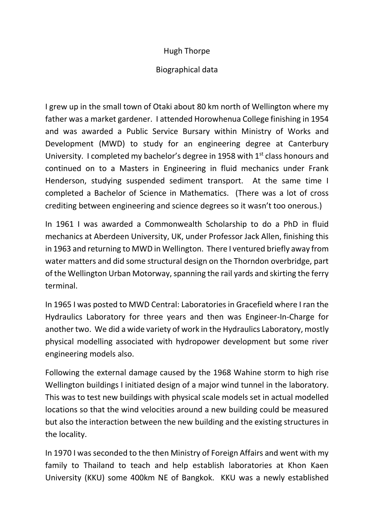## Hugh Thorpe

## Biographical data

I grew up in the small town of Otaki about 80 km north of Wellington where my father was a market gardener. I attended Horowhenua College finishing in 1954 and was awarded a Public Service Bursary within Ministry of Works and Development (MWD) to study for an engineering degree at Canterbury University. I completed my bachelor's degree in 1958 with  $1<sup>st</sup>$  class honours and continued on to a Masters in Engineering in fluid mechanics under Frank Henderson, studying suspended sediment transport. At the same time I completed a Bachelor of Science in Mathematics. (There was a lot of cross crediting between engineering and science degrees so it wasn't too onerous.)

In 1961 I was awarded a Commonwealth Scholarship to do a PhD in fluid mechanics at Aberdeen University, UK, under Professor Jack Allen, finishing this in 1963 and returning to MWD in Wellington. There I ventured briefly away from water matters and did some structural design on the Thorndon overbridge, part of the Wellington Urban Motorway, spanning the rail yards and skirting the ferry terminal.

In 1965 I was posted to MWD Central: Laboratories in Gracefield where I ran the Hydraulics Laboratory for three years and then was Engineer-In-Charge for another two. We did a wide variety of work in the Hydraulics Laboratory, mostly physical modelling associated with hydropower development but some river engineering models also.

Following the external damage caused by the 1968 Wahine storm to high rise Wellington buildings I initiated design of a major wind tunnel in the laboratory. This was to test new buildings with physical scale models set in actual modelled locations so that the wind velocities around a new building could be measured but also the interaction between the new building and the existing structures in the locality.

In 1970 I was seconded to the then Ministry of Foreign Affairs and went with my family to Thailand to teach and help establish laboratories at Khon Kaen University (KKU) some 400km NE of Bangkok. KKU was a newly established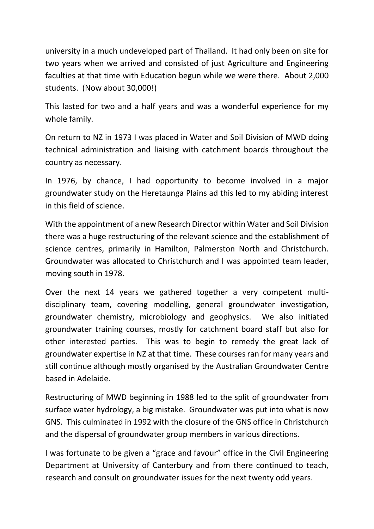university in a much undeveloped part of Thailand. It had only been on site for two years when we arrived and consisted of just Agriculture and Engineering faculties at that time with Education begun while we were there. About 2,000 students. (Now about 30,000!)

This lasted for two and a half years and was a wonderful experience for my whole family.

On return to NZ in 1973 I was placed in Water and Soil Division of MWD doing technical administration and liaising with catchment boards throughout the country as necessary.

In 1976, by chance, I had opportunity to become involved in a major groundwater study on the Heretaunga Plains ad this led to my abiding interest in this field of science.

With the appointment of a new Research Director within Water and Soil Division there was a huge restructuring of the relevant science and the establishment of science centres, primarily in Hamilton, Palmerston North and Christchurch. Groundwater was allocated to Christchurch and I was appointed team leader, moving south in 1978.

Over the next 14 years we gathered together a very competent multidisciplinary team, covering modelling, general groundwater investigation, groundwater chemistry, microbiology and geophysics. We also initiated groundwater training courses, mostly for catchment board staff but also for other interested parties. This was to begin to remedy the great lack of groundwater expertise in NZ at that time. These coursesran for many years and still continue although mostly organised by the Australian Groundwater Centre based in Adelaide.

Restructuring of MWD beginning in 1988 led to the split of groundwater from surface water hydrology, a big mistake. Groundwater was put into what is now GNS. This culminated in 1992 with the closure of the GNS office in Christchurch and the dispersal of groundwater group members in various directions.

I was fortunate to be given a "grace and favour" office in the Civil Engineering Department at University of Canterbury and from there continued to teach, research and consult on groundwater issues for the next twenty odd years.